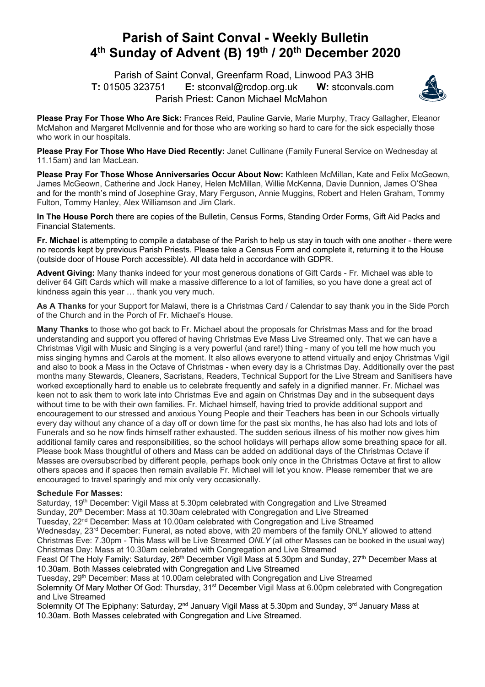## **Parish of Saint Conval - Weekly Bulletin 4th Sunday of Advent (B) 19th / 20th December 2020**

 Parish of Saint Conval, Greenfarm Road, Linwood PA3 3HB **T:** 01505 323751 **E:** stconval@rcdop.org.uk **W:** stconvals.com Parish Priest: Canon Michael McMahon



**Please Pray For Those Who Are Sick:** Frances Reid, Pauline Garvie, Marie Murphy, Tracy Gallagher, Eleanor McMahon and Margaret McIlvennie and for those who are working so hard to care for the sick especially those who work in our hospitals.

**Please Pray For Those Who Have Died Recently:** Janet Cullinane (Family Funeral Service on Wednesday at 11.15am) and Ian MacLean.

**Please Pray For Those Whose Anniversaries Occur About Now:** Kathleen McMillan, Kate and Felix McGeown, James McGeown, Catherine and Jock Haney, Helen McMillan, Willie McKenna, Davie Dunnion, James O'Shea and for the month's mind of Josephine Gray, Mary Ferguson, Annie Muggins, Robert and Helen Graham, Tommy Fulton, Tommy Hanley, Alex Williamson and Jim Clark.

**In The House Porch** there are copies of the Bulletin, Census Forms, Standing Order Forms, Gift Aid Packs and Financial Statements.

**Fr. Michael** is attempting to compile a database of the Parish to help us stay in touch with one another - there were no records kept by previous Parish Priests. Please take a Census Form and complete it, returning it to the House (outside door of House Porch accessible). All data held in accordance with GDPR.

**Advent Giving:** Many thanks indeed for your most generous donations of Gift Cards - Fr. Michael was able to deliver 64 Gift Cards which will make a massive difference to a lot of families, so you have done a great act of kindness again this year … thank you very much.

**As A Thanks** for your Support for Malawi, there is a Christmas Card / Calendar to say thank you in the Side Porch of the Church and in the Porch of Fr. Michael's House.

**Many Thanks** to those who got back to Fr. Michael about the proposals for Christmas Mass and for the broad understanding and support you offered of having Christmas Eve Mass Live Streamed only. That we can have a Christmas Vigil with Music and Singing is a very powerful (and rare!) thing - many of you tell me how much you miss singing hymns and Carols at the moment. It also allows everyone to attend virtually and enjoy Christmas Vigil and also to book a Mass in the Octave of Christmas - when every day is a Christmas Day. Additionally over the past months many Stewards, Cleaners, Sacristans, Readers, Technical Support for the Live Stream and Sanitisers have worked exceptionally hard to enable us to celebrate frequently and safely in a dignified manner. Fr. Michael was keen not to ask them to work late into Christmas Eve and again on Christmas Day and in the subsequent days without time to be with their own families. Fr. Michael himself, having tried to provide additional support and encouragement to our stressed and anxious Young People and their Teachers has been in our Schools virtually every day without any chance of a day off or down time for the past six months, he has also had lots and lots of Funerals and so he now finds himself rather exhausted. The sudden serious illness of his mother now gives him additional family cares and responsibilities, so the school holidays will perhaps allow some breathing space for all. Please book Mass thoughtful of others and Mass can be added on additional days of the Christmas Octave if Masses are oversubscribed by different people, perhaps book only once in the Christmas Octave at first to allow others spaces and if spaces then remain available Fr. Michael will let you know. Please remember that we are encouraged to travel sparingly and mix only very occasionally.

## **Schedule For Masses:**

Saturday, 19<sup>th</sup> December: Vigil Mass at 5.30pm celebrated with Congregation and Live Streamed Sunday, 20<sup>th</sup> December: Mass at 10.30am celebrated with Congregation and Live Streamed Tuesday, 22<sup>nd</sup> December: Mass at 10.00am celebrated with Congregation and Live Streamed Wednesday, 23<sup>rd</sup> December: Funeral, as noted above, with 20 members of the family ONLY allowed to attend Christmas Eve: 7.30pm - This Mass will be Live Streamed *ONLY* (all other Masses can be booked in the usual way) Christmas Day: Mass at 10.30am celebrated with Congregation and Live Streamed

Feast Of The Holy Family: Saturday, 26<sup>th</sup> December Vigil Mass at 5.30pm and Sunday, 27<sup>th</sup> December Mass at 10.30am. Both Masses celebrated with Congregation and Live Streamed

Tuesday, 29<sup>th</sup> December: Mass at 10.00am celebrated with Congregation and Live Streamed Solemnity Of Mary Mother Of God: Thursday, 31<sup>st</sup> December Vigil Mass at 6.00pm celebrated with Congregation and Live Streamed

Solemnity Of The Epiphany: Saturday, 2<sup>nd</sup> January Vigil Mass at 5.30pm and Sunday, 3<sup>rd</sup> January Mass at 10.30am. Both Masses celebrated with Congregation and Live Streamed.